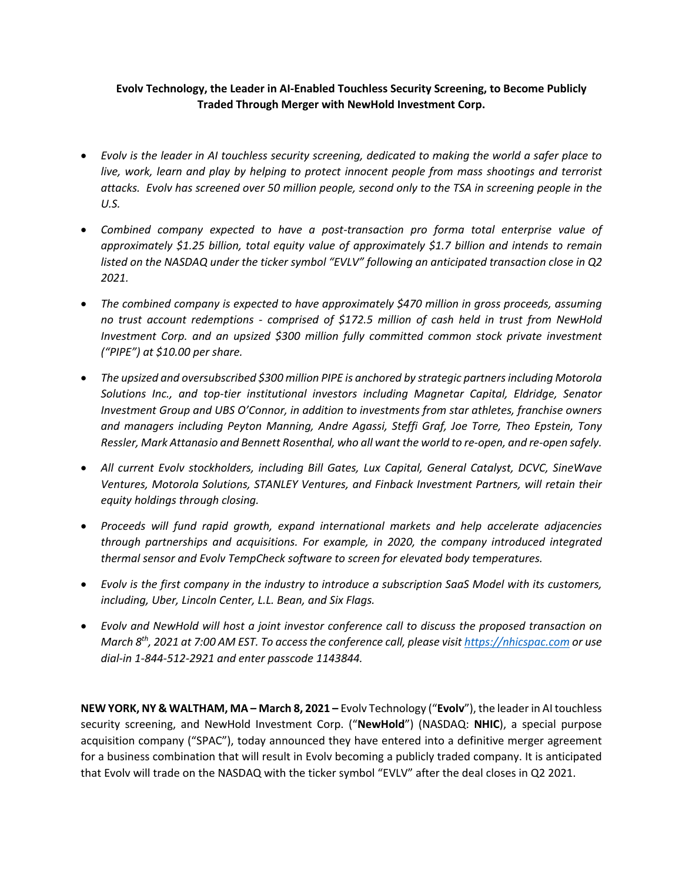# **Evolv Technology, the Leader in AI-Enabled Touchless Security Screening, to Become Publicly Traded Through Merger with NewHold Investment Corp.**

- *Evolv is the leader in AI touchless security screening, dedicated to making the world a safer place to live, work, learn and play by helping to protect innocent people from mass shootings and terrorist attacks. Evolv has screened over 50 million people, second only to the TSA in screening people in the U.S.*
- *Combined company expected to have a post-transaction pro forma total enterprise value of approximately \$1.25 billion, total equity value of approximately \$1.7 billion and intends to remain listed on the NASDAQ under the ticker symbol "EVLV" following an anticipated transaction close in Q2 2021.*
- *The combined company is expected to have approximately \$470 million in gross proceeds, assuming no trust account redemptions - comprised of \$172.5 million of cash held in trust from NewHold Investment Corp. and an upsized \$300 million fully committed common stock private investment ("PIPE") at \$10.00 per share.*
- *The upsized and oversubscribed \$300 million PIPE is anchored by strategic partners including Motorola Solutions Inc., and top-tier institutional investors including Magnetar Capital, Eldridge, Senator Investment Group and UBS O'Connor, in addition to investments from star athletes, franchise owners and managers including Peyton Manning, Andre Agassi, Steffi Graf, Joe Torre, Theo Epstein, Tony Ressler, Mark Attanasio and Bennett Rosenthal, who all want the world to re-open, and re-open safely.*
- *All current Evolv stockholders, including Bill Gates, Lux Capital, General Catalyst, DCVC, SineWave Ventures, Motorola Solutions, STANLEY Ventures, and Finback Investment Partners, will retain their equity holdings through closing.*
- *Proceeds will fund rapid growth, expand international markets and help accelerate adjacencies through partnerships and acquisitions. For example, in 2020, the company introduced integrated thermal sensor and Evolv TempCheck software to screen for elevated body temperatures.*
- *Evolv is the first company in the industry to introduce a subscription SaaS Model with its customers, including, Uber, Lincoln Center, L.L. Bean, and Six Flags.*
- *Evolv and NewHold will host a joint investor conference call to discuss the proposed transaction on March 8th, 2021 at 7:00 AM EST. To access the conference call, please visit https://nhicspac.com or use dial-in 1-844-512-2921 and enter passcode 1143844.*

**NEW YORK, NY & WALTHAM, MA – March 8, 2021 –** Evolv Technology ("**Evolv**"), the leader in AI touchless security screening, and NewHold Investment Corp. ("**NewHold**") (NASDAQ: **NHIC**), a special purpose acquisition company ("SPAC"), today announced they have entered into a definitive merger agreement for a business combination that will result in Evolv becoming a publicly traded company. It is anticipated that Evolv will trade on the NASDAQ with the ticker symbol "EVLV" after the deal closes in Q2 2021.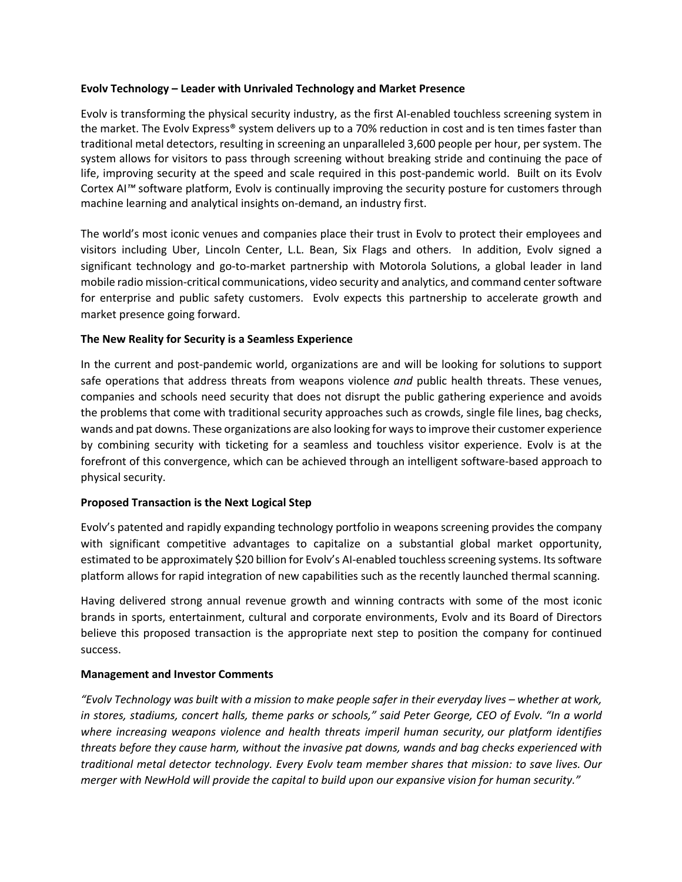## **Evolv Technology – Leader with Unrivaled Technology and Market Presence**

Evolv is transforming the physical security industry, as the first AI-enabled touchless screening system in the market. The Evolv Express® system delivers up to a 70% reduction in cost and is ten times faster than traditional metal detectors, resulting in screening an unparalleled 3,600 people per hour, per system. The system allows for visitors to pass through screening without breaking stride and continuing the pace of life, improving security at the speed and scale required in this post-pandemic world. Built on its Evolv Cortex AI*™* software platform, Evolv is continually improving the security posture for customers through machine learning and analytical insights on-demand, an industry first.

The world's most iconic venues and companies place their trust in Evolv to protect their employees and visitors including Uber, Lincoln Center, L.L. Bean, Six Flags and others. In addition, Evolv signed a significant technology and go-to-market partnership with Motorola Solutions, a global leader in land mobile radio mission-critical communications, video security and analytics, and command center software for enterprise and public safety customers. Evolv expects this partnership to accelerate growth and market presence going forward.

## **The New Reality for Security is a Seamless Experience**

In the current and post-pandemic world, organizations are and will be looking for solutions to support safe operations that address threats from weapons violence *and* public health threats. These venues, companies and schools need security that does not disrupt the public gathering experience and avoids the problems that come with traditional security approaches such as crowds, single file lines, bag checks, wands and pat downs. These organizations are also looking for ways to improve their customer experience by combining security with ticketing for a seamless and touchless visitor experience. Evolv is at the forefront of this convergence, which can be achieved through an intelligent software-based approach to physical security.

## **Proposed Transaction is the Next Logical Step**

Evolv's patented and rapidly expanding technology portfolio in weapons screening provides the company with significant competitive advantages to capitalize on a substantial global market opportunity, estimated to be approximately \$20 billion for Evolv's AI-enabled touchless screening systems. Its software platform allows for rapid integration of new capabilities such as the recently launched thermal scanning.

Having delivered strong annual revenue growth and winning contracts with some of the most iconic brands in sports, entertainment, cultural and corporate environments, Evolv and its Board of Directors believe this proposed transaction is the appropriate next step to position the company for continued success.

## **Management and Investor Comments**

"Evoly Technology was built with a mission to make people safer in their everyday lives – whether at work, in stores, stadiums, concert halls, theme parks or schools," said Peter George, CEO of Evolv. "In a world *where increasing weapons violence and health threats imperil human security, our platform identifies threats before they cause harm, without the invasive pat downs, wands and bag checks experienced with traditional metal detector technology. Every Evolv team member shares that mission: to save lives. Our merger with NewHold will provide the capital to build upon our expansive vision for human security."*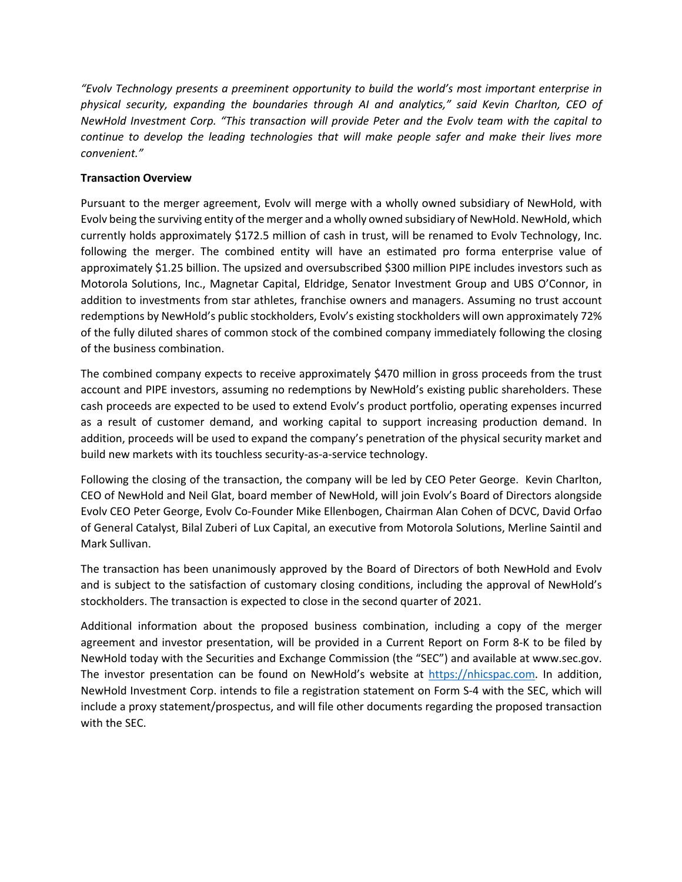*"Evolv Technology presents a preeminent opportunity to build the world's most important enterprise in physical security, expanding the boundaries through AI and analytics," said Kevin Charlton, CEO of NewHold Investment Corp. "This transaction will provide Peter and the Evolv team with the capital to continue to develop the leading technologies that will make people safer and make their lives more convenient."*

# **Transaction Overview**

Pursuant to the merger agreement, Evolv will merge with a wholly owned subsidiary of NewHold, with Evolv being the surviving entity of the merger and a wholly owned subsidiary of NewHold. NewHold, which currently holds approximately \$172.5 million of cash in trust, will be renamed to Evolv Technology, Inc. following the merger. The combined entity will have an estimated pro forma enterprise value of approximately \$1.25 billion. The upsized and oversubscribed \$300 million PIPE includes investors such as Motorola Solutions, Inc., Magnetar Capital, Eldridge, Senator Investment Group and UBS O'Connor, in addition to investments from star athletes, franchise owners and managers. Assuming no trust account redemptions by NewHold's public stockholders, Evolv's existing stockholders will own approximately 72% of the fully diluted shares of common stock of the combined company immediately following the closing of the business combination.

The combined company expects to receive approximately \$470 million in gross proceeds from the trust account and PIPE investors, assuming no redemptions by NewHold's existing public shareholders. These cash proceeds are expected to be used to extend Evolv's product portfolio, operating expenses incurred as a result of customer demand, and working capital to support increasing production demand. In addition, proceeds will be used to expand the company's penetration of the physical security market and build new markets with its touchless security-as-a-service technology.

Following the closing of the transaction, the company will be led by CEO Peter George. Kevin Charlton, CEO of NewHold and Neil Glat, board member of NewHold, will join Evolv's Board of Directors alongside Evolv CEO Peter George, Evolv Co-Founder Mike Ellenbogen, Chairman Alan Cohen of DCVC, David Orfao of General Catalyst, Bilal Zuberi of Lux Capital, an executive from Motorola Solutions, Merline Saintil and Mark Sullivan.

The transaction has been unanimously approved by the Board of Directors of both NewHold and Evolv and is subject to the satisfaction of customary closing conditions, including the approval of NewHold's stockholders. The transaction is expected to close in the second quarter of 2021.

Additional information about the proposed business combination, including a copy of the merger agreement and investor presentation, will be provided in a Current Report on Form 8-K to be filed by NewHold today with the Securities and Exchange Commission (the "SEC") and available at www.sec.gov. The investor presentation can be found on NewHold's website at https://nhicspac.com. In addition, NewHold Investment Corp. intends to file a registration statement on Form S-4 with the SEC, which will include a proxy statement/prospectus, and will file other documents regarding the proposed transaction with the SEC.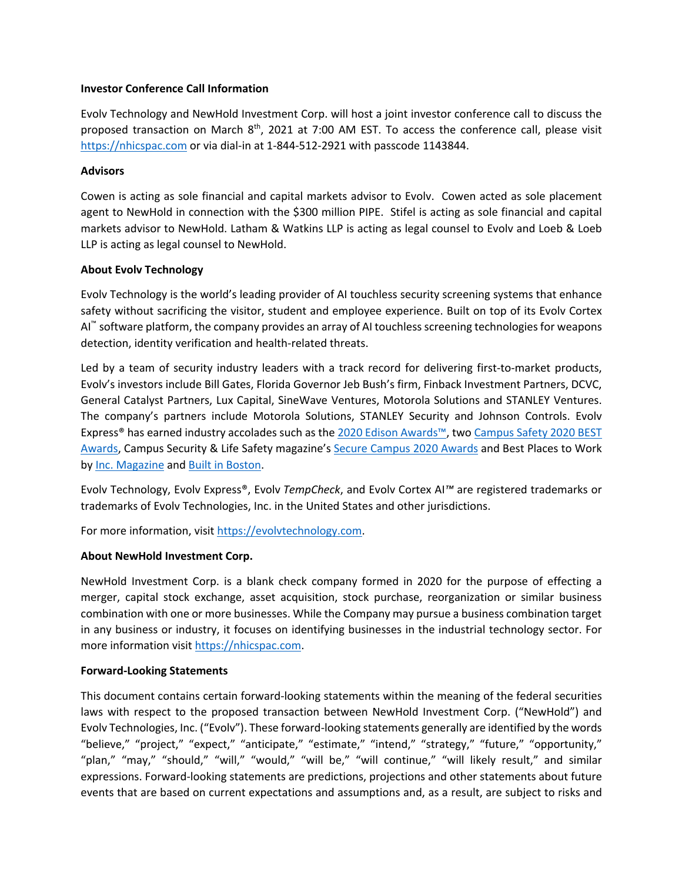### **Investor Conference Call Information**

Evolv Technology and NewHold Investment Corp. will host a joint investor conference call to discuss the proposed transaction on March  $8<sup>th</sup>$ , 2021 at 7:00 AM EST. To access the conference call, please visit https://nhicspac.com or via dial-in at 1-844-512-2921 with passcode 1143844.

#### **Advisors**

Cowen is acting as sole financial and capital markets advisor to Evolv. Cowen acted as sole placement agent to NewHold in connection with the \$300 million PIPE. Stifel is acting as sole financial and capital markets advisor to NewHold. Latham & Watkins LLP is acting as legal counsel to Evolv and Loeb & Loeb LLP is acting as legal counsel to NewHold.

## **About Evolv Technology**

Evolv Technology is the world's leading provider of AI touchless security screening systems that enhance safety without sacrificing the visitor, student and employee experience. Built on top of its Evolv Cortex AI™ software platform, the company provides an array of AI touchless screening technologies for weapons detection, identity verification and health-related threats.

Led by a team of security industry leaders with a track record for delivering first-to-market products, Evolv's investors include Bill Gates, Florida Governor Jeb Bush's firm, Finback Investment Partners, DCVC, General Catalyst Partners, Lux Capital, SineWave Ventures, Motorola Solutions and STANLEY Ventures. The company's partners include Motorola Solutions, STANLEY Security and Johnson Controls. Evolv Express® has earned industry accolades such as the 2020 Edison Awards™, two Campus Safety 2020 BEST Awards, Campus Security & Life Safety magazine's Secure Campus 2020 Awards and Best Places to Work by Inc. Magazine and Built in Boston.

Evolv Technology, Evolv Express®, Evolv *TempCheck*, and Evolv Cortex AI*™* are registered trademarks or trademarks of Evolv Technologies, Inc. in the United States and other jurisdictions.

For more information, visit https://evolvtechnology.com.

## **About NewHold Investment Corp.**

NewHold Investment Corp. is a blank check company formed in 2020 for the purpose of effecting a merger, capital stock exchange, asset acquisition, stock purchase, reorganization or similar business combination with one or more businesses. While the Company may pursue a business combination target in any business or industry, it focuses on identifying businesses in the industrial technology sector. For more information visit https://nhicspac.com.

## **Forward-Looking Statements**

This document contains certain forward-looking statements within the meaning of the federal securities laws with respect to the proposed transaction between NewHold Investment Corp. ("NewHold") and Evolv Technologies, Inc. ("Evolv"). These forward-looking statements generally are identified by the words "believe," "project," "expect," "anticipate," "estimate," "intend," "strategy," "future," "opportunity," "plan," "may," "should," "will," "would," "will be," "will continue," "will likely result," and similar expressions. Forward-looking statements are predictions, projections and other statements about future events that are based on current expectations and assumptions and, as a result, are subject to risks and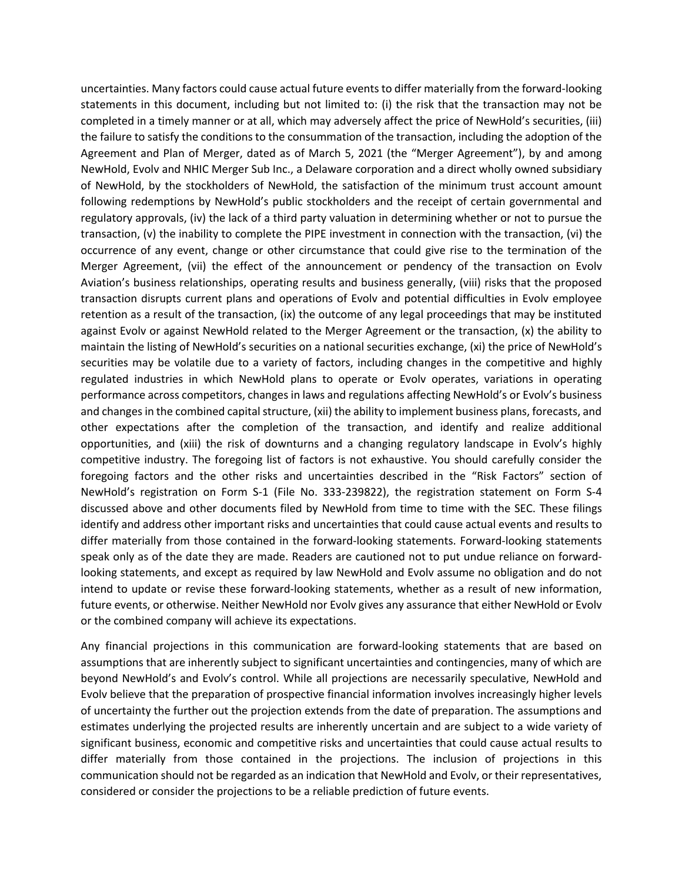uncertainties. Many factors could cause actual future events to differ materially from the forward-looking statements in this document, including but not limited to: (i) the risk that the transaction may not be completed in a timely manner or at all, which may adversely affect the price of NewHold's securities, (iii) the failure to satisfy the conditions to the consummation of the transaction, including the adoption of the Agreement and Plan of Merger, dated as of March 5, 2021 (the "Merger Agreement"), by and among NewHold, Evolv and NHIC Merger Sub Inc., a Delaware corporation and a direct wholly owned subsidiary of NewHold, by the stockholders of NewHold, the satisfaction of the minimum trust account amount following redemptions by NewHold's public stockholders and the receipt of certain governmental and regulatory approvals, (iv) the lack of a third party valuation in determining whether or not to pursue the transaction, (v) the inability to complete the PIPE investment in connection with the transaction, (vi) the occurrence of any event, change or other circumstance that could give rise to the termination of the Merger Agreement, (vii) the effect of the announcement or pendency of the transaction on Evolv Aviation's business relationships, operating results and business generally, (viii) risks that the proposed transaction disrupts current plans and operations of Evolv and potential difficulties in Evolv employee retention as a result of the transaction, (ix) the outcome of any legal proceedings that may be instituted against Evolv or against NewHold related to the Merger Agreement or the transaction, (x) the ability to maintain the listing of NewHold's securities on a national securities exchange, (xi) the price of NewHold's securities may be volatile due to a variety of factors, including changes in the competitive and highly regulated industries in which NewHold plans to operate or Evolv operates, variations in operating performance across competitors, changes in laws and regulations affecting NewHold's or Evolv's business and changes in the combined capital structure, (xii) the ability to implement business plans, forecasts, and other expectations after the completion of the transaction, and identify and realize additional opportunities, and (xiii) the risk of downturns and a changing regulatory landscape in Evolv's highly competitive industry. The foregoing list of factors is not exhaustive. You should carefully consider the foregoing factors and the other risks and uncertainties described in the "Risk Factors" section of NewHold's registration on Form S-1 (File No. 333-239822), the registration statement on Form S-4 discussed above and other documents filed by NewHold from time to time with the SEC. These filings identify and address other important risks and uncertainties that could cause actual events and results to differ materially from those contained in the forward-looking statements. Forward-looking statements speak only as of the date they are made. Readers are cautioned not to put undue reliance on forwardlooking statements, and except as required by law NewHold and Evolv assume no obligation and do not intend to update or revise these forward-looking statements, whether as a result of new information, future events, or otherwise. Neither NewHold nor Evolv gives any assurance that either NewHold or Evolv or the combined company will achieve its expectations.

Any financial projections in this communication are forward-looking statements that are based on assumptions that are inherently subject to significant uncertainties and contingencies, many of which are beyond NewHold's and Evolv's control. While all projections are necessarily speculative, NewHold and Evolv believe that the preparation of prospective financial information involves increasingly higher levels of uncertainty the further out the projection extends from the date of preparation. The assumptions and estimates underlying the projected results are inherently uncertain and are subject to a wide variety of significant business, economic and competitive risks and uncertainties that could cause actual results to differ materially from those contained in the projections. The inclusion of projections in this communication should not be regarded as an indication that NewHold and Evolv, or their representatives, considered or consider the projections to be a reliable prediction of future events.